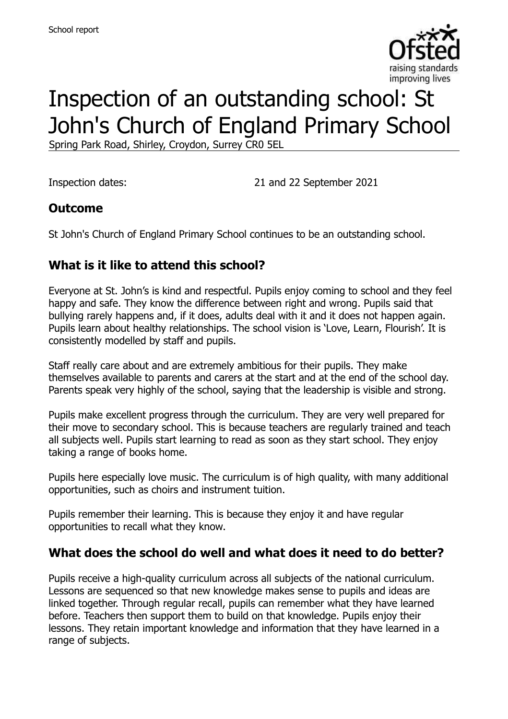

# Inspection of an outstanding school: St John's Church of England Primary School

Spring Park Road, Shirley, Croydon, Surrey CR0 5EL

Inspection dates: 21 and 22 September 2021

#### **Outcome**

St John's Church of England Primary School continues to be an outstanding school.

## **What is it like to attend this school?**

Everyone at St. John's is kind and respectful. Pupils enjoy coming to school and they feel happy and safe. They know the difference between right and wrong. Pupils said that bullying rarely happens and, if it does, adults deal with it and it does not happen again. Pupils learn about healthy relationships. The school vision is 'Love, Learn, Flourish'. It is consistently modelled by staff and pupils.

Staff really care about and are extremely ambitious for their pupils. They make themselves available to parents and carers at the start and at the end of the school day. Parents speak very highly of the school, saying that the leadership is visible and strong.

Pupils make excellent progress through the curriculum. They are very well prepared for their move to secondary school. This is because teachers are regularly trained and teach all subjects well. Pupils start learning to read as soon as they start school. They enjoy taking a range of books home.

Pupils here especially love music. The curriculum is of high quality, with many additional opportunities, such as choirs and instrument tuition.

Pupils remember their learning. This is because they enjoy it and have regular opportunities to recall what they know.

#### **What does the school do well and what does it need to do better?**

Pupils receive a high-quality curriculum across all subjects of the national curriculum. Lessons are sequenced so that new knowledge makes sense to pupils and ideas are linked together. Through regular recall, pupils can remember what they have learned before. Teachers then support them to build on that knowledge. Pupils enjoy their lessons. They retain important knowledge and information that they have learned in a range of subjects.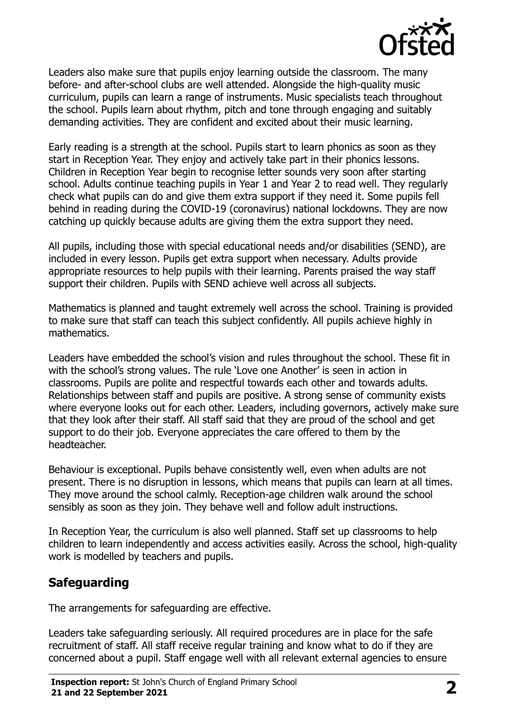

Leaders also make sure that pupils enjoy learning outside the classroom. The many before- and after-school clubs are well attended. Alongside the high-quality music curriculum, pupils can learn a range of instruments. Music specialists teach throughout the school. Pupils learn about rhythm, pitch and tone through engaging and suitably demanding activities. They are confident and excited about their music learning.

Early reading is a strength at the school. Pupils start to learn phonics as soon as they start in Reception Year. They enjoy and actively take part in their phonics lessons. Children in Reception Year begin to recognise letter sounds very soon after starting school. Adults continue teaching pupils in Year 1 and Year 2 to read well. They regularly check what pupils can do and give them extra support if they need it. Some pupils fell behind in reading during the COVID-19 (coronavirus) national lockdowns. They are now catching up quickly because adults are giving them the extra support they need.

All pupils, including those with special educational needs and/or disabilities (SEND), are included in every lesson. Pupils get extra support when necessary. Adults provide appropriate resources to help pupils with their learning. Parents praised the way staff support their children. Pupils with SEND achieve well across all subjects.

Mathematics is planned and taught extremely well across the school. Training is provided to make sure that staff can teach this subject confidently. All pupils achieve highly in mathematics.

Leaders have embedded the school's vision and rules throughout the school. These fit in with the school's strong values. The rule 'Love one Another' is seen in action in classrooms. Pupils are polite and respectful towards each other and towards adults. Relationships between staff and pupils are positive. A strong sense of community exists where everyone looks out for each other. Leaders, including governors, actively make sure that they look after their staff. All staff said that they are proud of the school and get support to do their job. Everyone appreciates the care offered to them by the headteacher.

Behaviour is exceptional. Pupils behave consistently well, even when adults are not present. There is no disruption in lessons, which means that pupils can learn at all times. They move around the school calmly. Reception-age children walk around the school sensibly as soon as they join. They behave well and follow adult instructions.

In Reception Year, the curriculum is also well planned. Staff set up classrooms to help children to learn independently and access activities easily. Across the school, high-quality work is modelled by teachers and pupils.

## **Safeguarding**

The arrangements for safeguarding are effective.

Leaders take safeguarding seriously. All required procedures are in place for the safe recruitment of staff. All staff receive regular training and know what to do if they are concerned about a pupil. Staff engage well with all relevant external agencies to ensure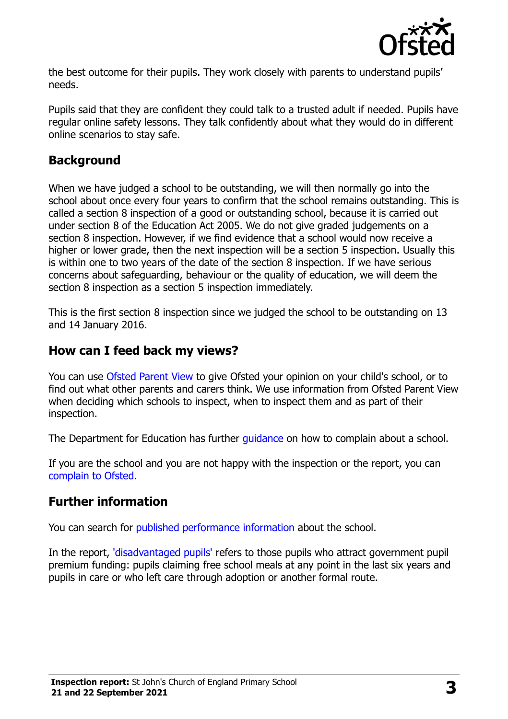

the best outcome for their pupils. They work closely with parents to understand pupils' needs.

Pupils said that they are confident they could talk to a trusted adult if needed. Pupils have regular online safety lessons. They talk confidently about what they would do in different online scenarios to stay safe.

### **Background**

When we have judged a school to be outstanding, we will then normally go into the school about once every four years to confirm that the school remains outstanding. This is called a section 8 inspection of a good or outstanding school, because it is carried out under section 8 of the Education Act 2005. We do not give graded judgements on a section 8 inspection. However, if we find evidence that a school would now receive a higher or lower grade, then the next inspection will be a section 5 inspection. Usually this is within one to two years of the date of the section 8 inspection. If we have serious concerns about safeguarding, behaviour or the quality of education, we will deem the section 8 inspection as a section 5 inspection immediately.

This is the first section 8 inspection since we judged the school to be outstanding on 13 and 14 January 2016.

#### **How can I feed back my views?**

You can use [Ofsted Parent View](https://parentview.ofsted.gov.uk/) to give Ofsted your opinion on your child's school, or to find out what other parents and carers think. We use information from Ofsted Parent View when deciding which schools to inspect, when to inspect them and as part of their inspection.

The Department for Education has further quidance on how to complain about a school.

If you are the school and you are not happy with the inspection or the report, you can [complain to Ofsted.](https://www.gov.uk/complain-ofsted-report)

#### **Further information**

You can search for [published performance information](http://www.compare-school-performance.service.gov.uk/) about the school.

In the report, ['disadvantaged pupils'](http://www.gov.uk/guidance/pupil-premium-information-for-schools-and-alternative-provision-settings) refers to those pupils who attract government pupil premium funding: pupils claiming free school meals at any point in the last six years and pupils in care or who left care through adoption or another formal route.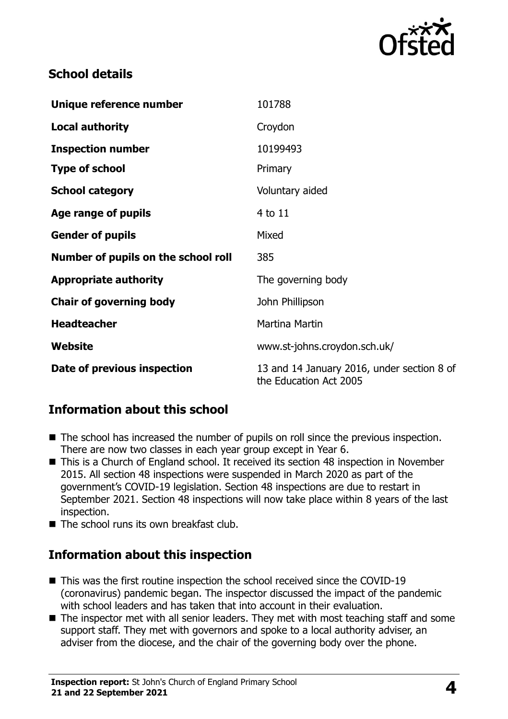

## **School details**

| Unique reference number             | 101788                                                               |
|-------------------------------------|----------------------------------------------------------------------|
| <b>Local authority</b>              | Croydon                                                              |
| <b>Inspection number</b>            | 10199493                                                             |
| <b>Type of school</b>               | Primary                                                              |
| <b>School category</b>              | Voluntary aided                                                      |
| Age range of pupils                 | 4 to 11                                                              |
| <b>Gender of pupils</b>             | Mixed                                                                |
| Number of pupils on the school roll | 385                                                                  |
| <b>Appropriate authority</b>        | The governing body                                                   |
| <b>Chair of governing body</b>      | John Phillipson                                                      |
| <b>Headteacher</b>                  | <b>Martina Martin</b>                                                |
| Website                             | www.st-johns.croydon.sch.uk/                                         |
| Date of previous inspection         | 13 and 14 January 2016, under section 8 of<br>the Education Act 2005 |

## **Information about this school**

- The school has increased the number of pupils on roll since the previous inspection. There are now two classes in each year group except in Year 6.
- This is a Church of England school. It received its section 48 inspection in November 2015. All section 48 inspections were suspended in March 2020 as part of the government's COVID-19 legislation. Section 48 inspections are due to restart in September 2021. Section 48 inspections will now take place within 8 years of the last inspection.
- The school runs its own breakfast club.

## **Information about this inspection**

- This was the first routine inspection the school received since the COVID-19 (coronavirus) pandemic began. The inspector discussed the impact of the pandemic with school leaders and has taken that into account in their evaluation.
- The inspector met with all senior leaders. They met with most teaching staff and some support staff. They met with governors and spoke to a local authority adviser, an adviser from the diocese, and the chair of the governing body over the phone.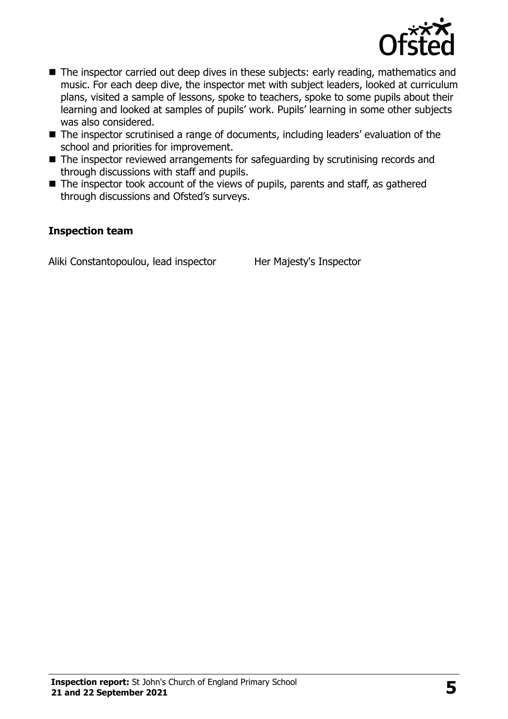

- The inspector carried out deep dives in these subjects: early reading, mathematics and music. For each deep dive, the inspector met with subject leaders, looked at curriculum plans, visited a sample of lessons, spoke to teachers, spoke to some pupils about their learning and looked at samples of pupils' work. Pupils' learning in some other subjects was also considered.
- The inspector scrutinised a range of documents, including leaders' evaluation of the school and priorities for improvement.
- The inspector reviewed arrangements for safeguarding by scrutinising records and through discussions with staff and pupils.
- The inspector took account of the views of pupils, parents and staff, as gathered through discussions and Ofsted's surveys.

#### **Inspection team**

Aliki Constantopoulou, lead inspector Her Majesty's Inspector